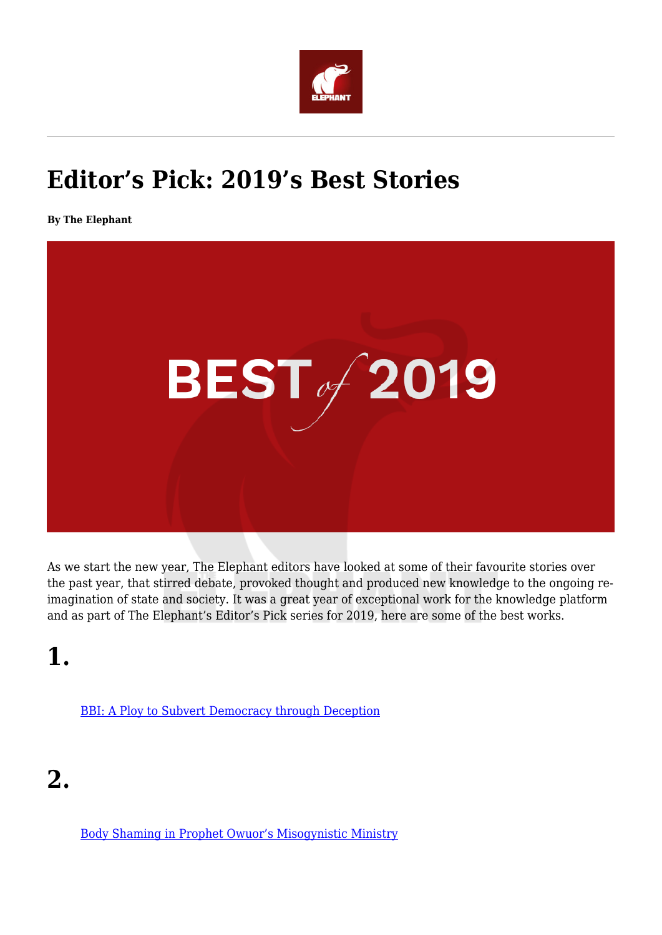

#### **Editor's Pick: 2019's Best Stories**

**By The Elephant**



As we start the new year, The Elephant editors have looked at some of their favourite stories over the past year, that stirred debate, provoked thought and produced new knowledge to the ongoing reimagination of state and society. It was a great year of exceptional work for the knowledge platform and as part of The Elephant's Editor's Pick series for 2019, here are some of the best works.

**1.**

[BBI: A Ploy to Subvert Democracy through Deception](https://www.theelephant.info/features/2019/12/13/bbi-a-ploy-to-subvert-democracy-through-deception/)

**2.**

[Body Shaming in Prophet Owuor's Misogynistic Ministry](https://www.theelephant.info/features/2019/11/21/body-shaming-in-prophet-owuors-misogynistic-ministry/)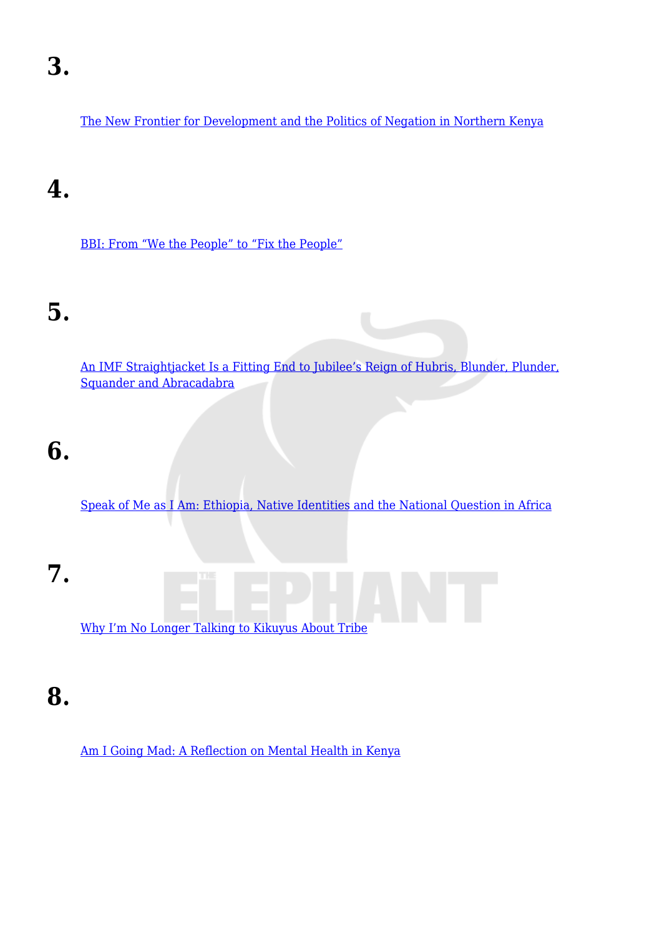[The New Frontier for Development and the Politics of Negation in Northern Kenya](https://www.theelephant.info/features/2019/11/15/the-new-frontier-for-development-and-the-politics-of-negation-in-northern-kenya/)

#### **4.**

[BBI: From "We the People" to "Fix the People"](https://www.theelephant.info/op-eds/2019/12/05/bbi-from-we-the-people-to-fix-the-people/)

#### **5.**

[An IMF Straightjacket Is a Fitting End to Jubilee's Reign of Hubris, Blunder, Plunder,](https://www.theelephant.info/op-eds/2019/12/06/an-imf-straightjacket-is-a-fitting-end-to-jubilees-reign-of-hubris-blunder-plunder-squander-and-abracadabra/) [Squander and Abracadabra](https://www.theelephant.info/op-eds/2019/12/06/an-imf-straightjacket-is-a-fitting-end-to-jubilees-reign-of-hubris-blunder-plunder-squander-and-abracadabra/)

#### **6.**

[Speak of Me as I Am: Ethiopia, Native Identities and the National Question in Africa](https://www.theelephant.info/op-eds/2019/01/26/speak-of-me-as-i-am/)

**7.** [Why I'm No Longer Talking to Kikuyus About Tribe](https://www.theelephant.info/op-eds/2019/07/20/why-im-no-longer-talking-to-kikuyus-about-tribe/)

#### **8.**

[Am I Going Mad: A Reflection on Mental Health in Kenya](https://www.theelephant.info/reflections/2019/05/03/am-i-going-mad-a-reflection-on-mental-health-in-kenya/)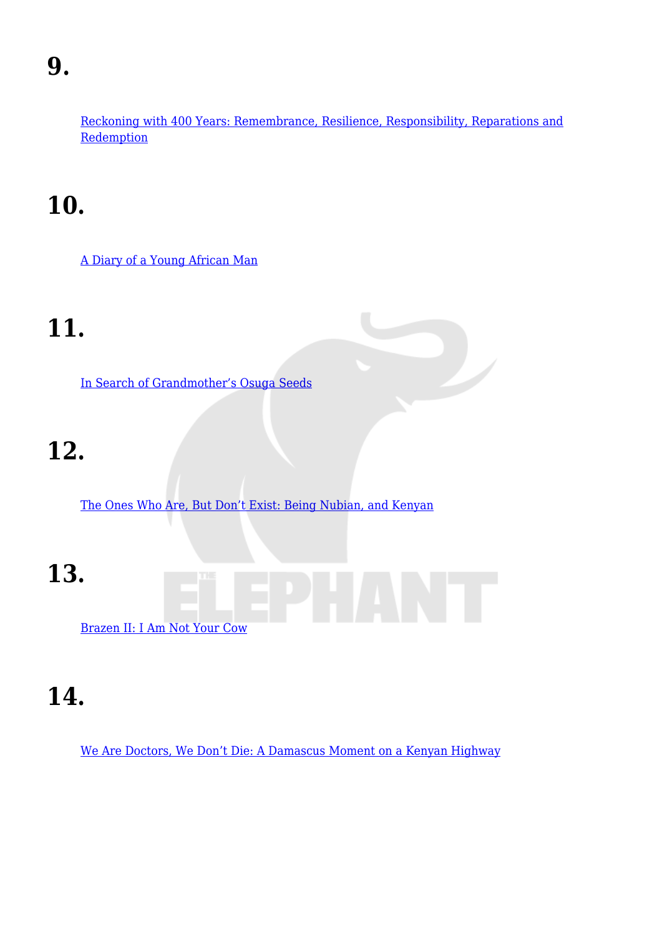[Reckoning with 400 Years: Remembrance, Resilience, Responsibility, Reparations and](https://www.theelephant.info/ideas/2019/08/30/the-original-sin-slavery-america-and-the-modern-world/) **[Redemption](https://www.theelephant.info/ideas/2019/08/30/the-original-sin-slavery-america-and-the-modern-world/)** 

## **10.**

[A Diary of a Young African Man](https://www.theelephant.info/reflections/2019/12/06/a-diary-of-a-young-african-man/)

# **11.**

[In Search of Grandmother's Osuga Seeds](https://www.theelephant.info/reflections/2019/09/29/in-search-of-grandmothers-osuga-seeds/)

# **12.**

[The Ones Who Are, But Don't Exist: Being Nubian, and Kenyan](https://www.theelephant.info/reflections/2019/07/05/the-ones-who-are-but-dont-exist-being-nubian-and-kenyan/)

**13.**



**14.**

[We Are Doctors, We Don't Die: A Damascus Moment on a Kenyan Highway](https://www.theelephant.info/reflections/2019/02/08/we-are-doctors-we-dont-die-a-damascus-moment-on-a-kenyan-highway/)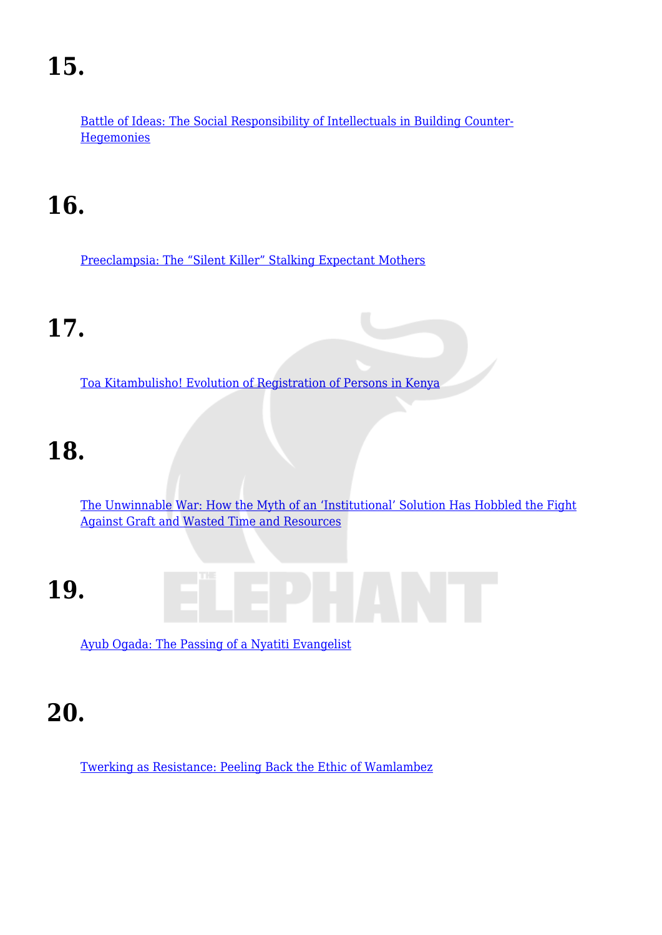[Battle of Ideas: The Social Responsibility of Intellectuals in Building Counter-](https://www.theelephant.info/op-eds/2019/02/09/battle-of-ideas-the-social-responsibility-of-intellectuals-in-building-counter-hegemonies/)**[Hegemonies](https://www.theelephant.info/op-eds/2019/02/09/battle-of-ideas-the-social-responsibility-of-intellectuals-in-building-counter-hegemonies/)** 

## **16.**

[Preeclampsia: The "Silent Killer" Stalking Expectant Mothers](https://www.theelephant.info/data-stories/2019/12/13/preeclampsia-the-silent-killer-stalking-expectant-mothers/)

## **17.**

[Toa Kitambulisho! Evolution of Registration of Persons in Kenya](https://www.theelephant.info/data-stories/2019/06/14/toa-kitambulisho-evolution-of-registration-of-persons-in-kenya/)

## **18.**

[The Unwinnable War: How the Myth of an 'Institutional' Solution Has Hobbled the Fight](https://www.theelephant.info/data-stories/2019/04/05/the-unwinnable-war-how-the-myth-of-an-institutional-solution-has-hobbled-the-fight-against-graft-and-wasted-time-and-resources/) [Against Graft and Wasted Time and Resources](https://www.theelephant.info/data-stories/2019/04/05/the-unwinnable-war-how-the-myth-of-an-institutional-solution-has-hobbled-the-fight-against-graft-and-wasted-time-and-resources/)

## **19.**

[Ayub Ogada: The Passing of a Nyatiti Evangelist](https://www.theelephant.info/culture/2019/02/21/ayub-ogada-the-passing-of-a-nyatiti-evangelist/)

#### **20.**

[Twerking as Resistance: Peeling Back the Ethic of Wamlambez](https://www.theelephant.info/culture/2019/08/29/twerking-as-resistance-peeling-back-the-ethic-of-wamlambez/)